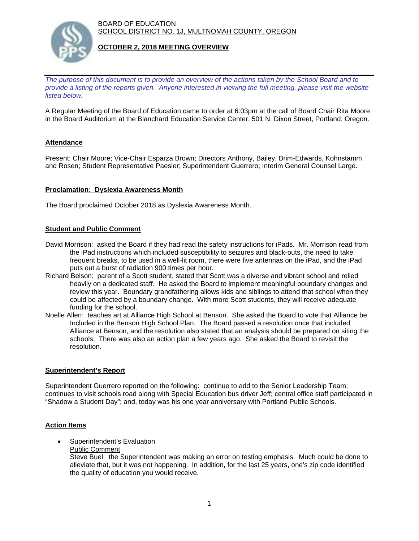BOARD OF EDUCATION SCHOOL DISTRICT NO. 1J, MULTNOMAH COUNTY, OREGON



#### **OCTOBER 2, 2018 MEETING OVERVIEW**

*The purpose of this document is to provide an overview of the actions taken by the School Board and to provide a listing of the reports given. Anyone interested in viewing the full meeting, please visit the website listed below.*

A Regular Meeting of the Board of Education came to order at 6:03pm at the call of Board Chair Rita Moore in the Board Auditorium at the Blanchard Education Service Center, 501 N. Dixon Street, Portland, Oregon.

## **Attendance**

Present: Chair Moore; Vice-Chair Esparza Brown; Directors Anthony, Bailey, Brim-Edwards, Kohnstamm and Rosen; Student Representative Paesler; Superintendent Guerrero; Interim General Counsel Large.

#### **Proclamation: Dyslexia Awareness Month**

The Board proclaimed October 2018 as Dyslexia Awareness Month.

### **Student and Public Comment**

- David Morrison: asked the Board if they had read the safety instructions for iPads. Mr. Morrison read from the iPad instructions which included susceptibility to seizures and black-outs, the need to take frequent breaks, to be used in a well-lit room, there were five antennas on the iPad, and the iPad puts out a burst of radiation 900 times per hour.
- Richard Belson: parent of a Scott student, stated that Scott was a diverse and vibrant school and relied heavily on a dedicated staff. He asked the Board to implement meaningful boundary changes and review this year. Boundary grandfathering allows kids and siblings to attend that school when they could be affected by a boundary change. With more Scott students, they will receive adequate funding for the school.
- Noelle Allen: teaches art at Alliance High School at Benson. She asked the Board to vote that Alliance be Included in the Benson High School Plan. The Board passed a resolution once that included Alliance at Benson, and the resolution also stated that an analysis should be prepared on siting the schools. There was also an action plan a few years ago. She asked the Board to revisit the resolution.

### **Superintendent's Report**

Superintendent Guerrero reported on the following: continue to add to the Senior Leadership Team; continues to visit schools road along with Special Education bus driver Jeff; central office staff participated in "Shadow a Student Day"; and, today was his one year anniversary with Portland Public Schools.

### **Action Items**

- Superintendent's Evaluation
	- Public Comment

Steve Buel: the Superintendent was making an error on testing emphasis. Much could be done to alleviate that, but it was not happening. In addition, for the last 25 years, one's zip code identified the quality of education you would receive.